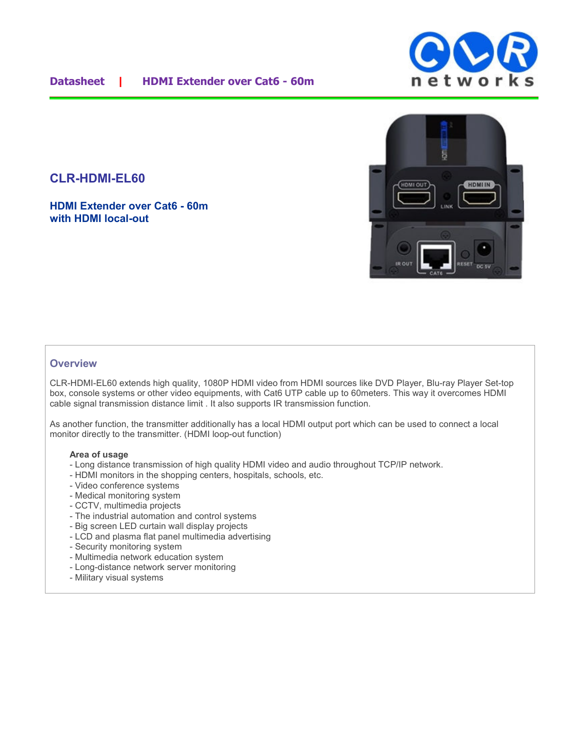# **CLR-HDMI-EL60**

**HDMI Extender over Cat6 - 60m with HDMI local-out**



### **Overview**

CLR-HDMI-EL60 extends high quality, 1080P HDMI video from HDMI sources like DVD Player, Blu-ray Player Set-top box, console systems or other video equipments, with Cat6 UTP cable up to 60meters. This way it overcomes HDMI cable signal transmission distance limit . It also supports IR transmission function.

As another function, the transmitter additionally has a local HDMI output port which can be used to connect a local monitor directly to the transmitter. (HDMI loop-out function)

#### **Area of usage**

- Long distance transmission of high quality HDMI video and audio throughout TCP/IP network.
- HDMI monitors in the shopping centers, hospitals, schools, etc.
- Video conference systems
- Medical monitoring system
- CCTV, multimedia projects
- The industrial automation and control systems
- Big screen LED curtain wall display projects
- LCD and plasma flat panel multimedia advertising
- Security monitoring system
- Multimedia network education system
- Long-distance network server monitoring
- Military visual systems

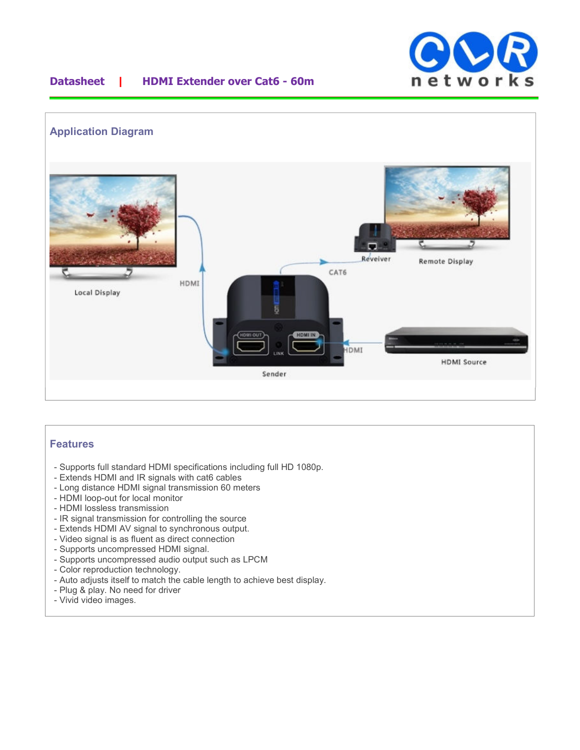

## **Datasheet | HDMI Extender over Cat6 - 60m**



## **Features**

- Supports full standard HDMI specifications including full HD 1080p.
- Extends HDMI and IR signals with cat6 cables
- Long distance HDMI signal transmission 60 meters
- HDMI loop-out for local monitor
- HDMI lossless transmission
- IR signal transmission for controlling the source
- Extends HDMI AV signal to synchronous output.
- Video signal is as fluent as direct connection
- Supports uncompressed HDMI signal.
- Supports uncompressed audio output such as LPCM
- Color reproduction technology.
- Auto adjusts itself to match the cable length to achieve best display.
- Plug & play. No need for driver
- Vivid video images.